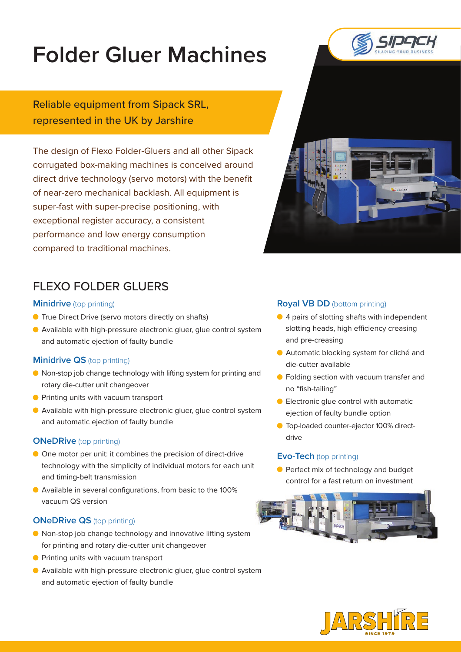# **Folder Gluer Machines**

Reliable equipment from Sipack SRL, represented in the UK by Jarshire

The design of Flexo Folder-Gluers and all other Sipack corrugated box-making machines is conceived around direct drive technology (servo motors) with the benefit of near-zero mechanical backlash. All equipment is super-fast with super-precise positioning, with exceptional register accuracy, a consistent performance and low energy consumption compared to traditional machines.





# FLEXO FOLDER GLUERS

#### **Minidrive** (top printing)

- **•** True Direct Drive (servo motors directly on shafts)
- Available with high-pressure electronic gluer, glue control system and automatic ejection of faulty bundle

## **Minidrive QS** (top printing)

- Non-stop job change technology with lifting system for printing and rotary die-cutter unit changeover
- **•** Printing units with vacuum transport
- Available with high-pressure electronic gluer, glue control system and automatic ejection of faulty bundle

#### **ONeDRive** (top printing)

- One motor per unit: it combines the precision of direct-drive technology with the simplicity of individual motors for each unit and timing-belt transmission
- Available in several configurations, from basic to the 100% vacuum QS version

## **ONeDRive QS** (top printing)

- Non-stop job change technology and innovative lifting system for printing and rotary die-cutter unit changeover
- **•** Printing units with vacuum transport
- Available with high-pressure electronic gluer, glue control system and automatic ejection of faulty bundle

#### **Royal VB DD** (bottom printing)

- 4 pairs of slotting shafts with independent slotting heads, high efficiency creasing and pre-creasing
- Automatic blocking system for cliché and die-cutter available
- **•** Folding section with vacuum transfer and no "fish-tailing"
- **Electronic glue control with automatic** ejection of faulty bundle option
- **O** Top-loaded counter-ejector 100% directdrive

## **Evo-Tech** (top printing)

**Perfect mix of technology and budget** control for a fast return on investment